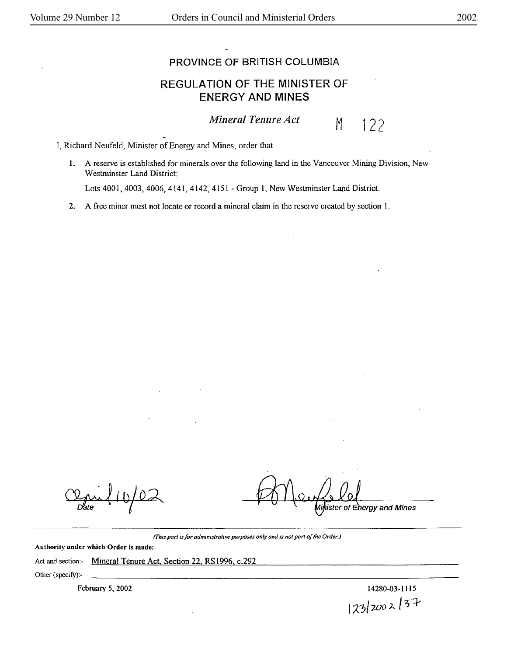## PROVINCE OF BRITISH COLUMBIA

## REGULATION OF THE MINISTER OF ENERGY AND MINES

*Mineral Tenure Act* M



I, Richard Neufeld, Minister of Energy and Mines, order that

**1.** A reserve is established for minerals over the following land in the Vancouver Mining Division, New Westminster Land District:

Lots 4001, 4003, 4006, 4141, 4142, 4151 -Group I, New Westminster Land District.

**2. A** free miner must not locate or record a mineral claim in the reserve created by section I .

 $110/02$ 

ister of Ehergy and Mines

*(This part is for administrative purposes only and is not part of the Order.)* 

**Authority under which Order is made:** 

Act and section:- Mineral Tenure Act, Section 22, RS1996, c.292

Other (specify):-

February *5,* 2002

14280-03-1115 I *;z:7'-wo* J- I 3·1--